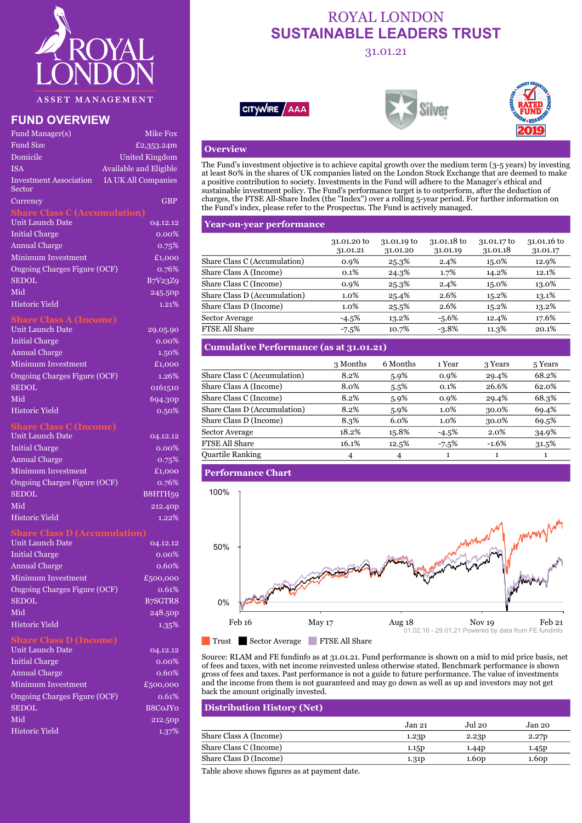

## **FUND OVERVIEW**

| Fund Manager(s)                         | Mike Fox                                 |                                                                                                                                                                                              |                         |                         |                         |                         |
|-----------------------------------------|------------------------------------------|----------------------------------------------------------------------------------------------------------------------------------------------------------------------------------------------|-------------------------|-------------------------|-------------------------|-------------------------|
| <b>Fund Size</b>                        | £2,353.24m                               | <b>Overview</b>                                                                                                                                                                              |                         |                         |                         |                         |
| Domicile                                | United Kingdom                           |                                                                                                                                                                                              |                         |                         |                         |                         |
| <b>ISA</b>                              | Available and Eligible                   | The Fund's investment objective is to achieve capital growth over the medium term $(3-5)$ ye<br>at least 80% in the shares of UK companies listed on the London Stock Exchange that are of   |                         |                         |                         |                         |
| <b>Investment Association</b><br>Sector | IA UK All Companies                      | a positive contribution to society. Investments in the Fund will adhere to the Manager's eth<br>sustainable investment policy. The Fund's performance target is to outperform, after the de- |                         |                         |                         |                         |
| Currency                                | <b>GBP</b>                               | charges, the FTSE All-Share Index (the "Index") over a rolling 5-year period. For further in                                                                                                 |                         |                         |                         |                         |
| <b>Share Class C (Accumulation)</b>     |                                          | the Fund's index, please refer to the Prospectus. The Fund is actively managed.                                                                                                              |                         |                         |                         |                         |
| Unit Launch Date                        | 04.12.12                                 | <b>Year-on-year performance</b>                                                                                                                                                              |                         |                         |                         |                         |
| <b>Initial Charge</b>                   | $0.00\%$                                 |                                                                                                                                                                                              |                         |                         |                         |                         |
| <b>Annual Charge</b>                    | 0.75%                                    |                                                                                                                                                                                              | 31.01.20 to<br>31.01.21 | 31.01.19 to<br>31.01.20 | 31.01.18 to<br>31.01.19 | 31.01.17 to<br>31.01.18 |
| Minimum Investment                      | £1,000                                   | Share Class C (Accumulation)                                                                                                                                                                 | $0.9\%$                 | 25.3%                   | $2.4\%$                 | 15.0%                   |
| Ongoing Charges Figure (OCF)            | 0.76%                                    | Share Class A (Income)                                                                                                                                                                       | $0.1\%$                 | 24.3%                   | 1.7%                    | 14.2%                   |
| <b>SEDOL</b>                            | B7V23Z9                                  | Share Class C (Income)                                                                                                                                                                       | 0.9%                    | 25.3%                   | 2.4%                    | 15.0%                   |
| Mid                                     | 245.50p                                  | Share Class D (Accumulation)                                                                                                                                                                 | $1.0\%$                 | 25.4%                   | 2.6%                    | 15.2%                   |
| <b>Historic Yield</b>                   | 1.21%                                    | Share Class D (Income)                                                                                                                                                                       | $1.0\%$                 | 25.5%                   | 2.6%                    | 15.2%                   |
| <b>Share Class A (Income)</b>           |                                          | Sector Average                                                                                                                                                                               | $-4.5%$                 | 13.2%                   | $-5.6\%$                | 12.4%                   |
| Unit Launch Date                        | 29.05.90                                 | <b>FTSE All Share</b>                                                                                                                                                                        | $-7.5\%$                | 10.7%                   | $-3.8\%$                | 11.3%                   |
| <b>Initial Charge</b>                   | $0.00\%$                                 |                                                                                                                                                                                              |                         |                         |                         |                         |
| <b>Annual Charge</b>                    | 1.50%                                    | <b>Cumulative Performance (as at 31.01.21)</b>                                                                                                                                               |                         |                         |                         |                         |
| <b>Minimum Investment</b>               | £1,000                                   |                                                                                                                                                                                              | 3 Months                | 6 Months                | 1 Year                  | 3 Years                 |
| Ongoing Charges Figure (OCF)            | 1.26%                                    | Share Class C (Accumulation)                                                                                                                                                                 | 8.2%                    | 5.9%                    | 0.9%                    | 29.4%                   |
| CDDM                                    | $\alpha$ + $\beta$ + $\alpha$ + $\alpha$ | Chora Claca (Inaoma)                                                                                                                                                                         | $Q_{\Omega}$            | $- -0/$                 | 0.10                    | 06.601                  |

## **Share Class C (Income)**

| Unit Launch Date             | 04.12.12 | Sector Average           | 18.2% | 15.8           |
|------------------------------|----------|--------------------------|-------|----------------|
| Initial Charge               | 0.00%    | <b>FTSE All Share</b>    | 16.1% | 12.5           |
| <b>Annual Charge</b>         | 0.75%    | <b>Quartile Ranking</b>  | 4     | $\overline{4}$ |
| Minimum Investment           | £1,000   | <b>Performance Chart</b> |       |                |
| Ongoing Charges Figure (OCF) | 0.76%    |                          |       |                |
| <b>SEDOL</b>                 | B8HTH59  | 100%                     |       |                |
| Mid                          | 212.40p  |                          |       |                |
| Historic Vield               | $1.99\%$ |                          |       |                |

### **Share Class D (Accumulation)**

| Unit Launch Date             | 04.12.12 | 50%    |                    |
|------------------------------|----------|--------|--------------------|
| <b>Initial Charge</b>        | 0.00%    |        |                    |
| <b>Annual Charge</b>         | 0.60%    |        |                    |
| Minimum Investment           | £500,000 |        |                    |
| Ongoing Charges Figure (OCF) | 0.61%    |        | <b>All Control</b> |
| <b>SEDOL</b>                 | B7SGTR8  | 0%     |                    |
| Mid                          | 248.50p  |        |                    |
| <b>Historic Yield</b>        | 1.35%    | Feb 16 | May 17             |

| Unii Baunui Daw              | 04.14.14            |                                                                                                                |
|------------------------------|---------------------|----------------------------------------------------------------------------------------------------------------|
| <b>Initial Charge</b>        | $0.00\%$            | Source: RLAM and FE fundinfo as at 31.01.21. Fund p<br>of fees and taxes, with net income reinvested unless of |
| <b>Annual Charge</b>         | 0.60%               | gross of fees and taxes. Past performance is not a guid                                                        |
| Minimum Investment           | £500,000            | and the income from them is not guaranteed and may                                                             |
| Ongoing Charges Figure (OCF) | 0.61%               | back the amount originally invested.                                                                           |
| <b>SEDOL</b>                 | B8CoJY <sub>O</sub> | <b>Distribution History (Net)</b>                                                                              |
| Mid                          | 212.50p             |                                                                                                                |
| Historic Yield               | 1.37%               | Share Class A (Income)                                                                                         |

# ROYAL LONDON **SUSTAINABLE LEADERS TRUST**

31.01.21







## **Overview**

Domicile United Kingdom<br>The Fund's investment objective is to achieve capital growth over the medium term (3-5 years) by investing ISA Available and Eligible<br>at least 80% in the shares of UK companies listed on the London Stock Exchange that are deemed to make Investment Association IA UK All Companies a positive contribution to society. Investments in the Fund will adhere to the Manager's ethical and Currency GBP charges, the FTSE All-Share Index (the "Index") over a rolling 5-year period. For further information on sustainable investment policy. The Fund's performance target is to outperform, after the deduction of the Fund's index, please refer to the Prospectus. The Fund is actively managed.

| Initial Charge               | $0.00\%$ |                              |                         |                         |                         |                         |                         |
|------------------------------|----------|------------------------------|-------------------------|-------------------------|-------------------------|-------------------------|-------------------------|
| <b>Annual Charge</b>         | 0.75%    |                              | 31.01.20 to<br>31.01.21 | 31.01.19 to<br>31.01.20 | 31.01.18 to<br>31.01.19 | 31.01.17 to<br>31.01.18 | 31.01.16 to<br>31.01.17 |
| Minimum Investment           | £1,000   | Share Class C (Accumulation) | $0.9\%$                 | 25.3%                   | 2.4%                    | 15.0%                   | 12.9%                   |
| Ongoing Charges Figure (OCF) | 0.76%    | Share Class A (Income)       | 0.1%                    | 24.3%                   | 1.7%                    | 14.2%                   | 12.1%                   |
| SEDOL                        | B7V23Z9  | Share Class C (Income)       | 0.9%                    | 25.3%                   | 2.4%                    | 15.0%                   | 13.0%                   |
| Mid                          | 245.50p  | Share Class D (Accumulation) | $1.0\%$                 | 25.4%                   | 2.6%                    | 15.2%                   | 13.1%                   |
| Historic Yield               | 1.21%    | Share Class D (Income)       | $1.0\%$                 | 25.5%                   | 2.6%                    | 15.2%                   | 13.2%                   |
| Class A (Income)             |          | Sector Average               | $-4.5\%$                | 13.2%                   | -5.6%                   | 12.4%                   | 17.6%                   |
| Unit Launch Date             | 29.05.90 | <b>FTSE All Share</b>        | $-7.5\%$                | 10.7%                   | $-3.8\%$                | 11.3%                   | 20.1%                   |
|                              |          |                              |                         |                         |                         |                         |                         |

| Minimum Investment           | £1,000   |                              | 3 Months | 6 Months | ∣ Year  | 3 Years | 5 Years  |
|------------------------------|----------|------------------------------|----------|----------|---------|---------|----------|
| Ongoing Charges Figure (OCF) | 1.26%    | Share Class C (Accumulation) | 8.2%     | 5.9%     | 0.9%    | 29.4%   | 68.2%    |
| SEDOL                        | 0161510  | Share Class A (Income)       | 8.0%     | 5.5%     | $0.1\%$ | 26.6%   | 62.0%    |
| Mid                          | 694.30p  | Share Class C (Income)       | 8.2%     | 5.9%     | $0.9\%$ | 29.4%   | 68.3%    |
| Historic Yield               | 0.50%    | Share Class D (Accumulation) | 8.2%     | 5.9%     | $1.0\%$ | 30.0%   | 69.4%    |
| nare Class C (Income)        |          | Share Class D (Income)       | 8.3%     | 6.0%     | 1.0%    | 30.0%   | 69.5%    |
| Unit Launch Date             | 04.12.12 | Sector Average               | 18.2%    | 15.8%    | $-4.5%$ | 2.0%    | 34.9%    |
| <b>Initial Charge</b>        | $0.00\%$ | <b>FTSE All Share</b>        | 16.1%    | 12.5%    | $-7.5%$ | $-1.6%$ | $31.5\%$ |
| Annual Charge                | $0.75\%$ | <b>Quartile Ranking</b>      |          |          |         |         |          |



Unit Launch Date 04.12.12 04.12.12<br>Source: RLAM and FE fundinfo as at 31.01.21. Fund performance is shown on a mid to mid price basis, net Initial Charge 0.00% 0.00% 0.00% 0.00% of fees and taxes, with net income reinvested unless otherwise stated. Benchmark performance is shown Annual Charge **1.2009 2.60% gross of fees and taxes. Past performance is not a guide to future performance. The value of investments** Minimum Investment  $E_{500,000}$  and the income from them is not guaranteed and may go down as well as up and investors may not get back the amount originally invested.

## SEDOL B8C0JY0 **Distribution History (Net)** Historic Yield 1.37% Share Class A (Income) 1.23p 2.23p 2.27p Jan 21 Jul 20 Jan 20 Share Class C (Income) 1.15p 1.44p 1.45p Share Class D (Income) 1.31p 1.60p 1.60p 1.60p

Table above shows figures as at payment date.